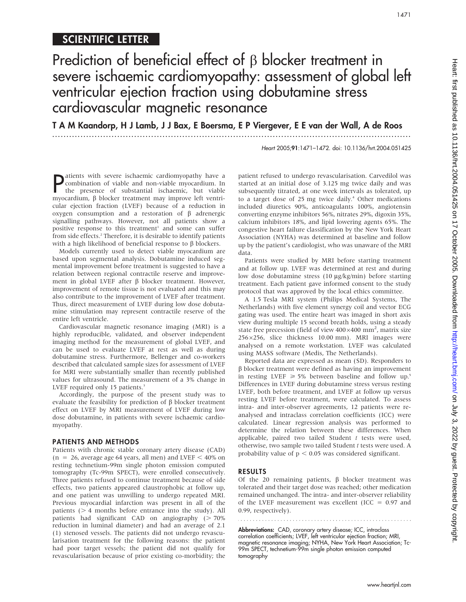# Heart: first published as 10.1136/hrt.2004.051425 on 17 October 2005. Downloaded from http://heart.bmj.com/ on July 3, 2022 by guest. Protected by copyright on July 3, 2022 by guest. Protected by copyright. <http://heart.bmj.com/> Heart: first published as 10.1136/hrt.2004.051425 on 17 October 2005. Downloaded from

## SCIENTIFIC LETTER

# Prediction of beneficial effect of  $\beta$  blocker treatment in severe ischaemic cardiomyopathy: assessment of global left ventricular ejection fraction using dobutamine stress cardiovascular magnetic resonance

T A M Kaandorp, H J Lamb, J J Bax, E Boersma, E P Viergever, E E van der Wall, A de Roos ...............................................................................................................................

Heart 2005;91:1471–1472. doi: 10.1136/hrt.2004.051425

1471

**P** atients with severe ischaemic cardiomyopathy have a<br>tombination of viable and non-viable myocardium. In<br>the presence of substantial ischaemic, but viable<br>myocardium  $\beta$  blocker treatment may improve left ventricombination of viable and non-viable myocardium. In the presence of substantial ischaemic, but viable myocardium, β blocker treatment may improve left ventricular ejection fraction (LVEF) because of a reduction in oxygen consumption and a restoration of  $\beta$  adrenergic signalling pathways. However, not all patients show a positive response to this treatment<sup>1</sup> and some can suffer from side effects.<sup>2</sup> Therefore, it is desirable to identify patients with a high likelihood of beneficial response to  $\beta$  blockers.

Models currently used to detect viable myocardium are based upon segmental analysis. Dobutamine induced segmental improvement before treatment is suggested to have a relation between regional contractile reserve and improvement in global LVEF after  $\beta$  blocker treatment. However, improvement of remote tissue is not evaluated and this may also contribute to the improvement of LVEF after treatment. Thus, direct measurement of LVEF during low dose dobutamine stimulation may represent contractile reserve of the entire left ventricle.

Cardiovascular magnetic resonance imaging (MRI) is a highly reproducible, validated, and observer independent imaging method for the measurement of global LVEF, and can be used to evaluate LVEF at rest as well as during dobutamine stress. Furthermore, Bellenger and co-workers described that calculated sample sizes for assessment of LVEF for MRI were substantially smaller than recently published values for ultrasound. The measurement of a 3% change in LVEF required only 15 patients.<sup>3</sup>

Accordingly, the purpose of the present study was to evaluate the feasibility for prediction of  $\beta$  blocker treatment effect on LVEF by MRI measurement of LVEF during low dose dobutamine, in patients with severe ischaemic cardiomyopathy.

### PATIENTS AND METHODS

Patients with chronic stable coronary artery disease (CAD)  $(n = 26)$ , average age 64 years, all men) and LVEF  $\leq 40\%$  on resting technetium-99m single photon emission computed tomography (Tc-99m SPECT), were enrolled consecutively. Three patients refused to continue treatment because of side effects, two patients appeared claustrophobic at follow up, and one patient was unwilling to undergo repeated MRI. Previous myocardial infarction was present in all of the patients  $($  > 4 months before entrance into the study). All patients had significant CAD on angiography  $($  > 70% reduction in luminal diameter) and had an average of 2.1 (1) stenosed vessels. The patients did not undergo revascularisation treatment for the following reasons: the patient had poor target vessels; the patient did not qualify for revascularisation because of prior existing co-morbidity; the patient refused to undergo revascularisation. Carvedilol was started at an initial dose of 3.125 mg twice daily and was subsequently titrated, at one week intervals as tolerated, up to a target dose of  $25 \text{ mg}$  twice daily.<sup>4</sup> Other medications included diuretics 90%, anticoagulants 100%, angiotensin converting enzyme inhibitors 56%, nitrates 29%, digoxin 35%, calcium inhibitors 18%, and lipid lowering agents 65%. The congestive heart failure classification by the New York Heart Association (NYHA) was determined at baseline and follow up by the patient's cardiologist, who was unaware of the MRI data.

Patients were studied by MRI before starting treatment and at follow up. LVEF was determined at rest and during low dose dobutamine stress (10 µg/kg/min) before starting treatment. Each patient gave informed consent to the study protocol that was approved by the local ethics committee.

A 1.5 Tesla MRI system (Philips Medical Systems, The Netherlands) with five element synergy coil and vector ECG gating was used. The entire heart was imaged in short axis view during multiple 15 second breath holds, using a steady state free precession (field of view  $400\times400$  mm<sup>2</sup>, matrix size  $256\times256$ , slice thickness 10.00 mm). MRI images were analysed on a remote workstation. LVEF was calculated using MASS software (Medis, The Netherlands).

Reported data are expressed as mean (SD). Responders to  $\beta$  blocker treatment were defined as having an improvement in resting LVEF  $\geq 5\%$  between baseline and follow up.<sup>5</sup> Differences in LVEF during dobutamine stress versus resting LVEF, both before treatment, and LVEF at follow up versus resting LVEF before treatment, were calculated. To assess intra- and inter-observer agreements, 12 patients were reanalysed and intraclass correlation coefficients (ICC) were calculated. Linear regression analysis was performed to determine the relation between these differences. When applicable, paired two tailed Student  $t$  tests were used, otherwise, two sample two tailed Student t tests were used. A probability value of  $p < 0.05$  was considered significant.

### RESULTS

Of the 20 remaining patients,  $\beta$  blocker treatment was tolerated and their target dose was reached; other medication remained unchanged. The intra- and inter-observer reliability of the LVEF measurement was excellent (ICC  $= 0.97$  and 0.99, respectively).

Abbreviations: CAD, coronary artery disease; ICC, intraclass correlation coefficients; LVEF, left ventricular ejection fraction; MRI, magnetic resonance imaging; NYHA, New York Heart Association; Tc-99m SPECT, technetium-99m single photon emission computed tomography